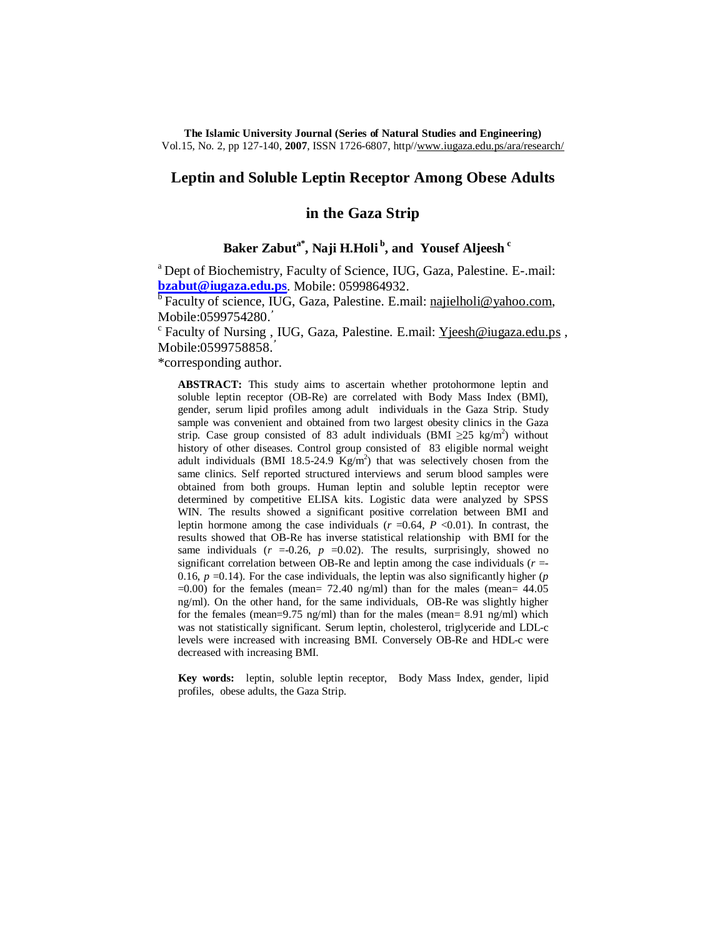**The Islamic University Journal (Series of Natural Studies and Engineering)**  Vol.15, No. 2, pp 127-140, **2007**, ISSN 1726-6807, http/[/www.iugaza.edu.ps/ara/research/](http://www.iugaza.edu.ps/ara/research/)

# **Leptin and Soluble Leptin Receptor Among Obese Adults**

# **in the Gaza Strip**

# **Baker Zabuta\* , Naji H.Holi<sup>b</sup> , and Yousef Aljeesh<sup>c</sup>**

<sup>a</sup> Dept of Biochemistry, Faculty of Science, IUG, Gaza, Palestine. E-.mail: **[bzabut@iugaza.edu.ps](mailto:bzabut@iugaza.edu.ps)**. Mobile: 0599864932.

<sup>b</sup> Faculty of science, IUG, Gaza, Palestine. E.mail: [najielholi@yahoo.com](mailto:najielholi@yahoo.com), Mobile:0599754280.ُ

<sup>c</sup> Faculty of Nursing, IUG, Gaza, Palestine. E.mail: [Yjeesh@iugaza.edu.ps](mailto:Yjeesh@iugaza.edu.ps), Mobile:0599758858.**ُ**

\*corresponding author.

**ABSTRACT:** This study aims to ascertain whether protohormone leptin and soluble leptin receptor (OB-Re) are correlated with Body Mass Index (BMI), gender, serum lipid profiles among adult individuals in the Gaza Strip. Study sample was convenient and obtained from two largest obesity clinics in the Gaza strip. Case group consisted of 83 adult individuals (BMI  $\geq$ 25 kg/m<sup>2</sup>) without history of other diseases. Control group consisted of 83 eligible normal weight adult individuals (BMI 18.5-24.9  $Kg/m<sup>2</sup>$ ) that was selectively chosen from the same clinics. Self reported structured interviews and serum blood samples were obtained from both groups. Human leptin and soluble leptin receptor were determined by competitive ELISA kits. Logistic data were analyzed by SPSS WIN. The results showed a significant positive correlation between BMI and leptin hormone among the case individuals  $(r = 0.64, P < 0.01)$ . In contrast, the results showed that OB-Re has inverse statistical relationship with BMI for the same individuals  $(r = 0.26, p = 0.02)$ . The results, surprisingly, showed no significant correlation between OB-Re and leptin among the case individuals  $(r =$ 0.16,  $p = 0.14$ ). For the case individuals, the leptin was also significantly higher ( $p$ )  $=0.00$ ) for the females (mean= 72.40 ng/ml) than for the males (mean= 44.05 ng/ml). On the other hand, for the same individuals, OB-Re was slightly higher for the females (mean=9.75 ng/ml) than for the males (mean= 8.91 ng/ml) which was not statistically significant. Serum leptin, cholesterol, triglyceride and LDL-c levels were increased with increasing BMI. Conversely OB-Re and HDL-c were decreased with increasing BMI.

**Key words:** leptin, soluble leptin receptor, Body Mass Index, gender, lipid profiles, obese adults, the Gaza Strip.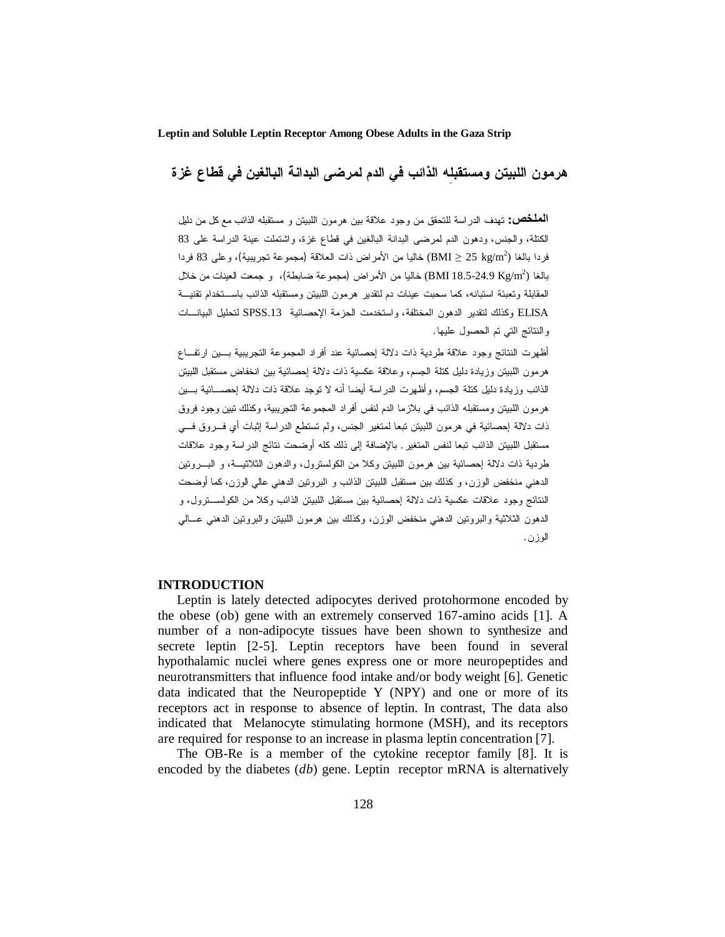**هرمون اللبيتن ومستقبلِه الذائب في الدم لمرضى البدانة البالغين في قطاع غزة**

**الملخص:** تهدف الدراسة للتحقق من وجود علاقة بين هرمون اللبيتن و مستقبله الذائب مع كل من دليل الكتلة، والجنس، ودهون الدم لمرضى البدانة البالغين في قطاع غزة، واشتملت عينة الدراسة على 83 فردا بالغا ( $\rm{gg} \geq 25$  kg/m بخاليا من الأمراض ذات العلاقة (مجموعة تجريبية)، وعلى 83 فردا بالغا (24.9-24.9 BMI 18.5) خاليا من الأمراض (مجموعة ضابطة)، و جمعت العينات من خلال المقابلة وتعبئة استبانه، كما سحبت عينات دم لتقدير هرمون اللبيتن ومستقبله الذائب باسـتخدام تقنيـة ELISA وكذلك لتقدير الدهون المختلفة، واستخدمت الحزمة الإحصائية .13SPSS لتحليل البيانـات والنتائج التي تم الحصول عليها.

أظهرت النتائج وجود علاقة طردية ذات دلالة إحصائية عند أفراد المجموعة التجريبية بـين ارتفـاع هرمون اللبيتن وزيادة دليل كتلة الجسم، وعلاقة عكسية ذات دلالة إحصائية بين انخفاض مستقبل اللبيتن الذائب وزيادة دليل كتلة الجسم، وأظهرت الدراسة أيضا أنه لا توجد علاقة ذات دلالة إحصـائية بـين هرمون اللبيتن ومستقبله الذائب في بلازما الدم لنفس أفراد المجموعة التجريبية، وكذلك تبين وجود فروق ذات دلالة إحصائية في هرمون اللبيتن تبعا لمتغير الجنس، ولم تستطع الدراسة إثبات أي فـروق فـي مستقبل اللبيتن الذائب تبعا لنفس المتغير. بالإضافة إلى ذلك كله أوضحت نتائج الدراسة وجود علاقات طردية ذات دلالة إحصائية بين هرمون اللبيتن وكلا من الكولسترول، والدهون الثلاثيـة، و البـروتين الدهني منخفض الوزن، و كذلك بين مستقبل اللبيتن الذائب و البروتين الدهني عالي الوزن، كما أوضحت النتائج وجود علاقات عكسية ذات دلالة إحصائية بين مستقبل اللبيتن الذائب وكلا من الكولسـترول، و الدهون الثلاثية والبروتين الدهني منخفض الوزن، وكذلك بين هرمون اللبيتن والبروتين الدهني عـالي الوزن.

## **INTRODUCTION**

Leptin is lately detected adipocytes derived protohormone encoded by the obese (ob) gene with an extremely conserved 167-amino acids [1]. A number of a non-adipocyte tissues have been shown to synthesize and secrete leptin [2-5]. Leptin receptors have been found in several hypothalamic nuclei where genes express one or more neuropeptides and neurotransmitters that influence food intake and/or body weight [6]. Genetic data indicated that the Neuropeptide Y (NPY) and one or more of its receptors act in response to absence of leptin. In contrast, The data also indicated that Melanocyte stimulating hormone (MSH), and its receptors are required for response to an increase in plasma leptin concentration [7].

The OB-Re is a member of the cytokine receptor family [8]. It is encoded by the diabetes (*db*) gene. Leptin receptor mRNA is alternatively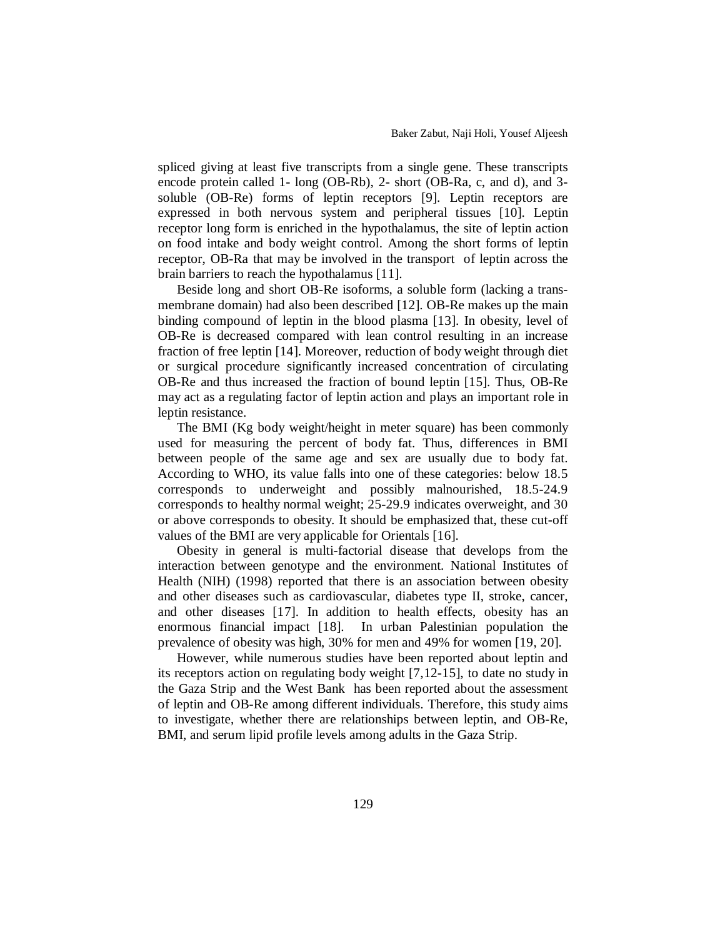spliced giving at least five transcripts from a single gene. These transcripts encode protein called 1- long (OB-Rb), 2- short (OB-Ra, c, and d), and 3 soluble (OB-Re) forms of leptin receptors [9]. Leptin receptors are expressed in both nervous system and peripheral tissues [10]. Leptin receptor long form is enriched in the hypothalamus, the site of leptin action on food intake and body weight control. Among the short forms of leptin receptor, OB-Ra that may be involved in the transport of leptin across the brain barriers to reach the hypothalamus [11].

Beside long and short OB-Re isoforms, a soluble form (lacking a transmembrane domain) had also been described [12]. OB-Re makes up the main binding compound of leptin in the blood plasma [13]. In obesity, level of OB-Re is decreased compared with lean control resulting in an increase fraction of free leptin [14]. Moreover, reduction of body weight through diet or surgical procedure significantly increased concentration of circulating OB-Re and thus increased the fraction of bound leptin [15]. Thus, OB-Re may act as a regulating factor of leptin action and plays an important role in leptin resistance.

The BMI (Kg body weight/height in meter square) has been commonly used for measuring the percent of body fat. Thus, differences in BMI between people of the same age and sex are usually due to body fat. According to WHO, its value falls into one of these categories: below 18.5 corresponds to underweight and possibly malnourished, 18.5-24.9 corresponds to healthy normal weight; 25-29.9 indicates overweight, and 30 or above corresponds to obesity. It should be emphasized that, these cut-off values of the BMI are very applicable for Orientals [16].

Obesity in general is multi-factorial disease that develops from the interaction between genotype and the environment. National Institutes of Health (NIH) (1998) reported that there is an association between obesity and other diseases such as cardiovascular, diabetes type II, stroke, cancer, and other diseases [17]. In addition to health effects, obesity has an enormous financial impact [18]. In urban Palestinian population the prevalence of obesity was high, 30% for men and 49% for women [19, 20].

However, while numerous studies have been reported about leptin and its receptors action on regulating body weight [7,12-15], to date no study in the Gaza Strip and the West Bank has been reported about the assessment of leptin and OB-Re among different individuals. Therefore, this study aims to investigate, whether there are relationships between leptin, and OB-Re, BMI, and serum lipid profile levels among adults in the Gaza Strip.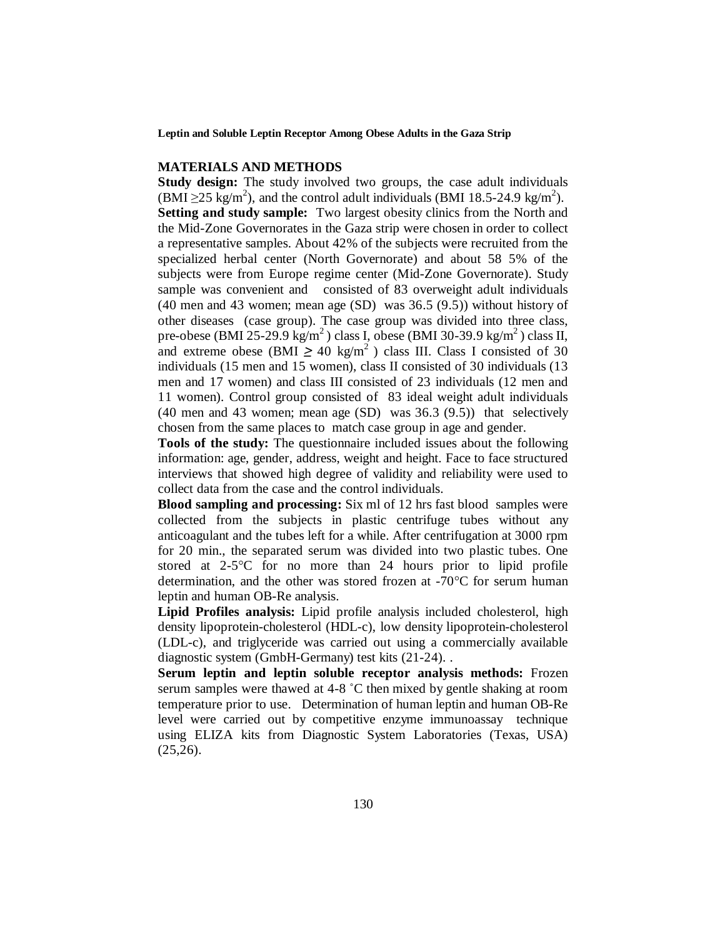#### **MATERIALS AND METHODS**

**Study design:** The study involved two groups, the case adult individuals  $(BMI \geq 25 \text{ kg/m}^2)$ , and the control adult individuals (BMI 18.5-24.9 kg/m<sup>2</sup>). **Setting and study sample:** Two largest obesity clinics from the North and the Mid-Zone Governorates in the Gaza strip were chosen in order to collect a representative samples. About 42% of the subjects were recruited from the specialized herbal center (North Governorate) and about 58 5% of the subjects were from Europe regime center (Mid-Zone Governorate). Study sample was convenient and consisted of 83 overweight adult individuals (40 men and 43 women; mean age (SD) was 36.5 (9.5)) without history of other diseases (case group). The case group was divided into three class, pre-obese (BMI 25-29.9 kg/m<sup>2</sup>) class I, obese (BMI 30-39.9 kg/m<sup>2</sup>) class II, and extreme obese (BMI  $\geq 40 \text{ kg/m}^2$ ) class III. Class I consisted of 30 individuals (15 men and 15 women), class II consisted of 30 individuals (13 men and 17 women) and class III consisted of 23 individuals (12 men and 11 women). Control group consisted of 83 ideal weight adult individuals (40 men and 43 women; mean age (SD) was 36.3 (9.5)) that selectively chosen from the same places to match case group in age and gender.

**Tools of the study:** The questionnaire included issues about the following information: age, gender, address, weight and height. Face to face structured interviews that showed high degree of validity and reliability were used to collect data from the case and the control individuals.

**Blood sampling and processing:** Six ml of 12 hrs fast blood samples were collected from the subjects in plastic centrifuge tubes without any anticoagulant and the tubes left for a while. After centrifugation at 3000 rpm for 20 min., the separated serum was divided into two plastic tubes. One stored at 2-5°C for no more than 24 hours prior to lipid profile determination, and the other was stored frozen at -70°C for serum human leptin and human OB-Re analysis.

**Lipid Profiles analysis:** Lipid profile analysis included cholesterol, high density lipoprotein-cholesterol (HDL-c), low density lipoprotein-cholesterol (LDL-c), and triglyceride was carried out using a commercially available diagnostic system (GmbH-Germany) test kits (21-24). .

**Serum leptin and leptin soluble receptor analysis methods:** Frozen serum samples were thawed at 4-8 ˚C then mixed by gentle shaking at room temperature prior to use. Determination of human leptin and human OB-Re level were carried out by competitive enzyme immunoassay technique using ELIZA kits from Diagnostic System Laboratories (Texas, USA)  $(25,26)$ .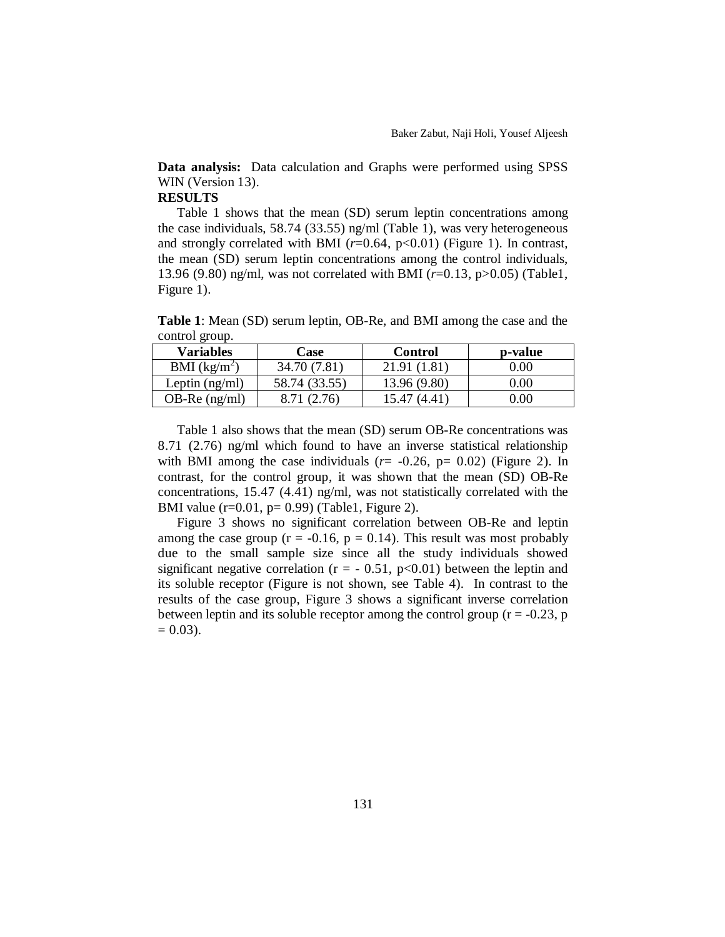**Data analysis:** Data calculation and Graphs were performed using SPSS WIN (Version 13).

# **RESULTS**

Table 1 shows that the mean (SD) serum leptin concentrations among the case individuals, 58.74 (33.55) ng/ml (Table 1), was very heterogeneous and strongly correlated with BMI  $(r=0.64, p<0.01)$  (Figure 1). In contrast, the mean (SD) serum leptin concentrations among the control individuals, 13.96 (9.80) ng/ml, was not correlated with BMI (*r*=0.13, p>0.05) (Table1, Figure 1).

**Table 1**: Mean (SD) serum leptin, OB-Re, and BMI among the case and the control group.

| <b>Variables</b> | Case          | Control      | p-value  |
|------------------|---------------|--------------|----------|
| BMI $(kg/m^2)$   | 34.70 (7.81)  | 21.91 (1.81) | 0.00     |
| Leptin $(ng/ml)$ | 58.74 (33.55) | 13.96 (9.80) | $0.00\,$ |
| OB-Re $(ng/ml)$  | 8.71 (2.76)   | 15.47        | 0.00     |
|                  |               |              |          |

Table 1 also shows that the mean (SD) serum OB-Re concentrations was 8.71 (2.76) ng/ml which found to have an inverse statistical relationship with BMI among the case individuals  $(r= -0.26, p= 0.02)$  (Figure 2). In contrast, for the control group, it was shown that the mean (SD) OB-Re concentrations, 15.47 (4.41) ng/ml, was not statistically correlated with the BMI value (r=0.01, p= 0.99) (Table1, Figure 2).

Figure 3 shows no significant correlation between OB-Re and leptin among the case group ( $r = -0.16$ ,  $p = 0.14$ ). This result was most probably due to the small sample size since all the study individuals showed significant negative correlation ( $r = -0.51$ ,  $p < 0.01$ ) between the leptin and its soluble receptor (Figure is not shown, see Table 4). In contrast to the results of the case group, Figure 3 shows a significant inverse correlation between leptin and its soluble receptor among the control group  $(r = -0.23, p$  $= 0.03$ ).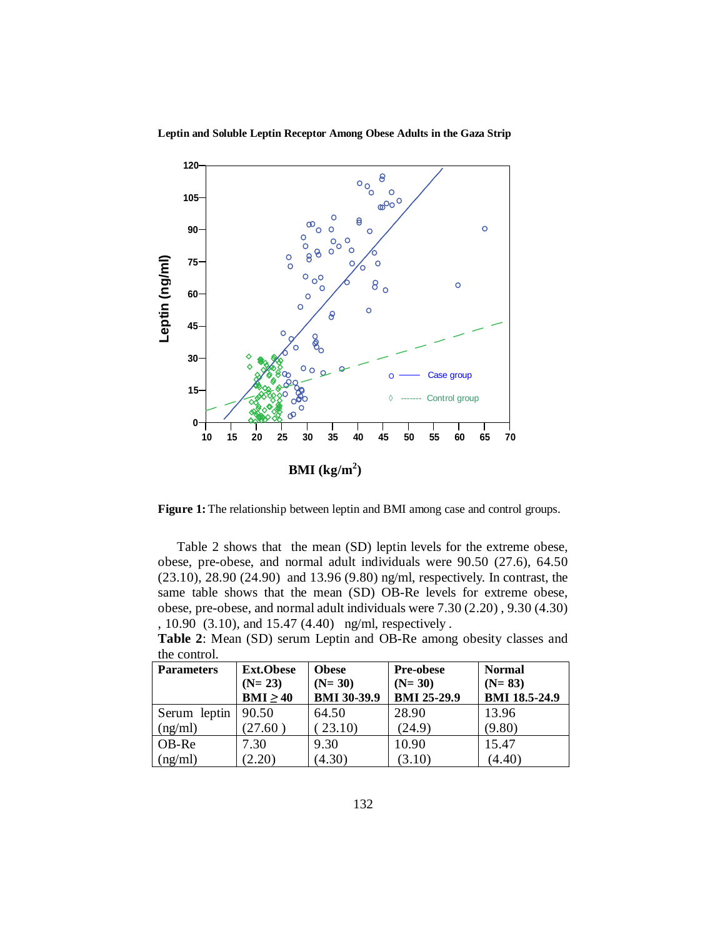

**Leptin and Soluble Leptin Receptor Among Obese Adults in the Gaza Strip**

**Figure 1:** The relationship between leptin and BMI among case and control groups.

Table 2 shows that the mean (SD) leptin levels for the extreme obese, obese, pre-obese, and normal adult individuals were 90.50 (27.6), 64.50 (23.10), 28.90 (24.90) and 13.96 (9.80) ng/ml, respectively. In contrast, the same table shows that the mean (SD) OB-Re levels for extreme obese, obese, pre-obese, and normal adult individuals were 7.30 (2.20) , 9.30 (4.30) , 10.90 (3.10), and 15.47 (4.40) ng/ml, respectively .

**Table 2**: Mean (SD) serum Leptin and OB-Re among obesity classes and the control.

| uit comuol<br><b>Parameters</b> | <b>Ext.Obese</b><br>$(N=23)$<br>$BMI \geq 40$ | <b>Obese</b><br>$(N=30)$<br><b>BMI 30-39.9</b> | <b>Pre-obese</b><br>$(N=30)$<br><b>BMI 25-29.9</b> | <b>Normal</b><br>$(N=83)$<br><b>BMI 18.5-24.9</b> |
|---------------------------------|-----------------------------------------------|------------------------------------------------|----------------------------------------------------|---------------------------------------------------|
| Serum leptin                    | 90.50                                         | 64.50                                          | 28.90                                              | 13.96                                             |
| (ng/ml)                         | (27.60)                                       | 23.10                                          | (24.9)                                             | (9.80)                                            |
| OB-Re                           | 7.30                                          | 9.30                                           | 10.90                                              | 15.47                                             |
| (ng/ml)                         | (2.20)                                        | (4.30)                                         | (3.10)                                             | (4.40)                                            |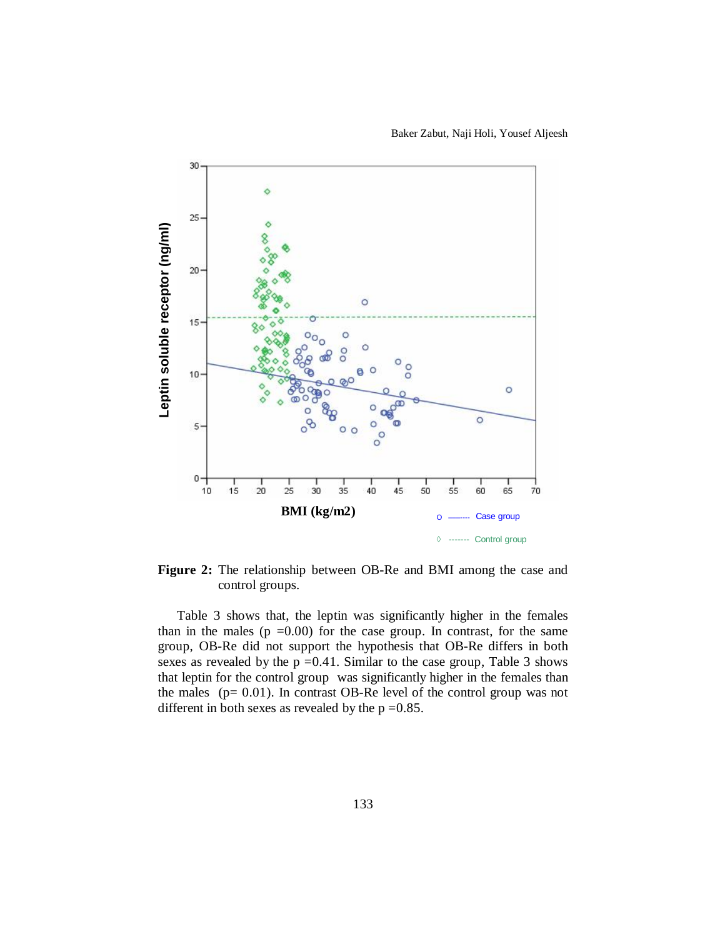Baker Zabut, Naji Holi, Yousef Aljeesh



**Figure 2:** The relationship between OB-Re and BMI among the case and control groups.

Table 3 shows that, the leptin was significantly higher in the females than in the males ( $p = 0.00$ ) for the case group. In contrast, for the same group, OB-Re did not support the hypothesis that OB-Re differs in both sexes as revealed by the  $p = 0.41$ . Similar to the case group, Table 3 shows that leptin for the control group was significantly higher in the females than the males ( $p = 0.01$ ). In contrast OB-Re level of the control group was not different in both sexes as revealed by the  $p = 0.85$ .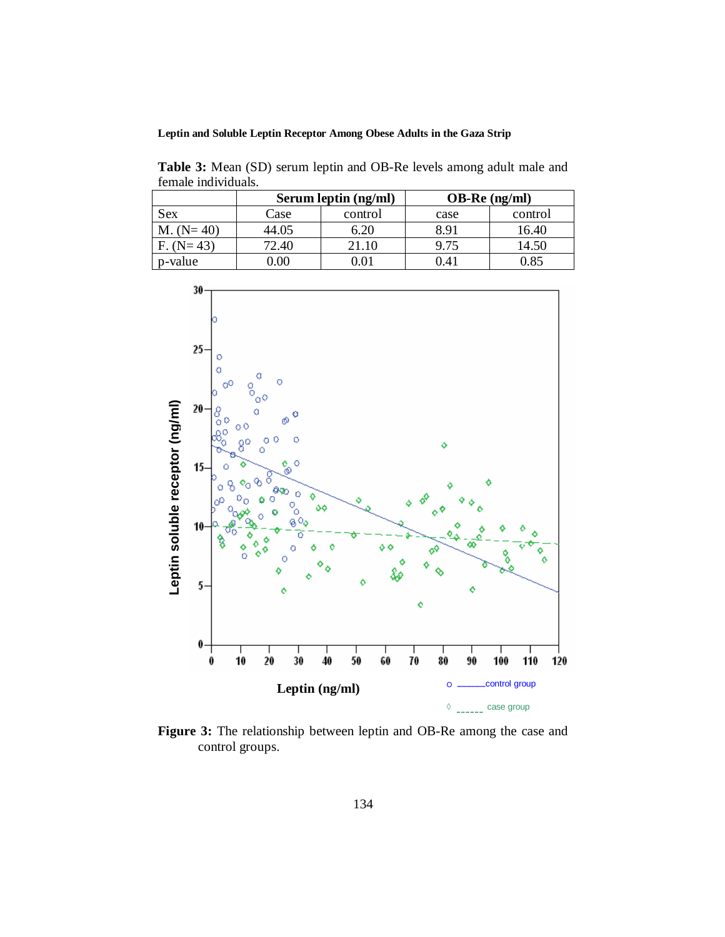**Leptin and Soluble Leptin Receptor Among Obese Adults in the Gaza Strip**

**Table 3:** Mean (SD) serum leptin and OB-Re levels among adult male and female individuals.

|             | Serum leptin (ng/ml) |         | $OB-Re$ (ng/ml) |         |  |
|-------------|----------------------|---------|-----------------|---------|--|
| Sex         | Case                 | control | case            | control |  |
| $M. (N=40)$ | 44.05                | 6.20    | 8.91            | 16.40   |  |
| $F. (N=43)$ | 72.40                | 21.10   | 9.75            | 14.50   |  |
| p-value     |                      |         | $\overline{4}$  | 0.85    |  |



**Figure 3:** The relationship between leptin and OB-Re among the case and control groups.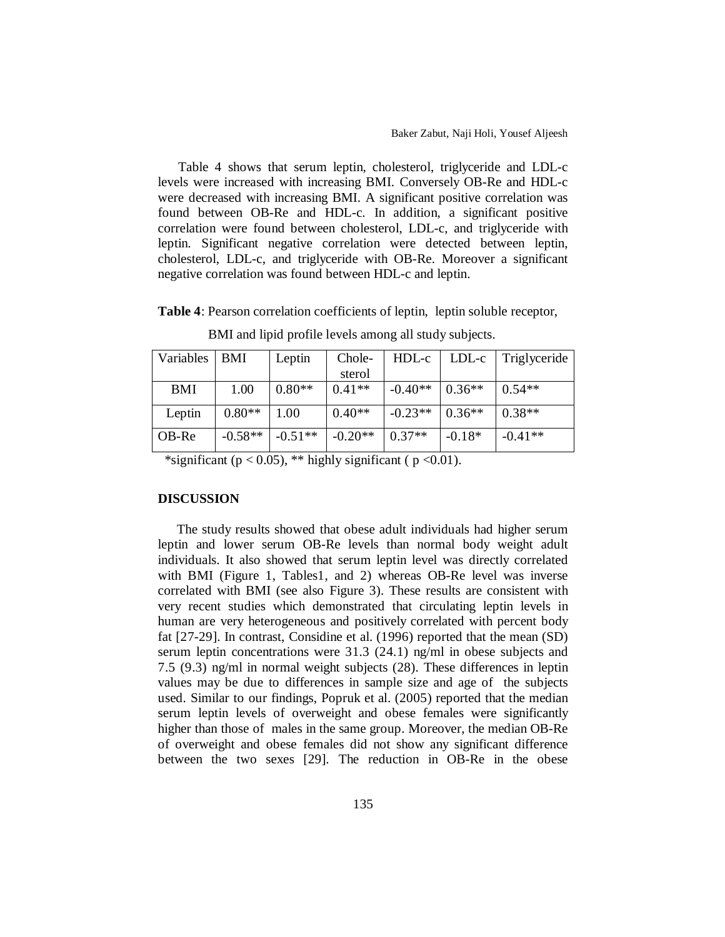Table 4 shows that serum leptin, cholesterol, triglyceride and LDL-c levels were increased with increasing BMI. Conversely OB-Re and HDL-c were decreased with increasing BMI. A significant positive correlation was found between OB-Re and HDL-c. In addition, a significant positive correlation were found between cholesterol, LDL-c, and triglyceride with leptin. Significant negative correlation were detected between leptin, cholesterol, LDL-c, and triglyceride with OB-Re. Moreover a significant negative correlation was found between HDL-c and leptin.

**Table 4**: Pearson correlation coefficients of leptin, leptin soluble receptor,

| Variables   BMI |           | Leptin    | Chole-    | $HDL-c$   |          | LDL-c Triglyceride |
|-----------------|-----------|-----------|-----------|-----------|----------|--------------------|
|                 |           |           | sterol    |           |          |                    |
| <b>BMI</b>      | 1.00      | $0.80**$  | $0.41**$  | $-0.40**$ | $0.36**$ | $0.54**$           |
|                 |           |           |           |           |          |                    |
| Leptin          | $0.80**$  | 1.00      | $0.40**$  | $-0.23**$ | $0.36**$ | $0.38**$           |
| OB-Re           | $-0.58**$ | $-0.51**$ | $-0.20**$ | $0.37**$  | $-0.18*$ | $-0.41**$          |

BMI and lipid profile levels among all study subjects.

\*significant ( $p < 0.05$ ), \*\* highly significant ( $p < 0.01$ ).

## **DISCUSSION**

The study results showed that obese adult individuals had higher serum leptin and lower serum OB-Re levels than normal body weight adult individuals. It also showed that serum leptin level was directly correlated with BMI (Figure 1, Tables1, and 2) whereas OB-Re level was inverse correlated with BMI (see also Figure 3). These results are consistent with very recent studies which demonstrated that circulating leptin levels in human are very heterogeneous and positively correlated with percent body fat [27-29]. In contrast, Considine et al. (1996) reported that the mean (SD) serum leptin concentrations were 31.3 (24.1) ng/ml in obese subjects and 7.5 (9.3) ng/ml in normal weight subjects (28). These differences in leptin values may be due to differences in sample size and age of the subjects used. Similar to our findings, Popruk et al. (2005) reported that the median serum leptin levels of overweight and obese females were significantly higher than those of males in the same group. Moreover, the median OB-Re of overweight and obese females did not show any significant difference between the two sexes [29]. The reduction in OB-Re in the obese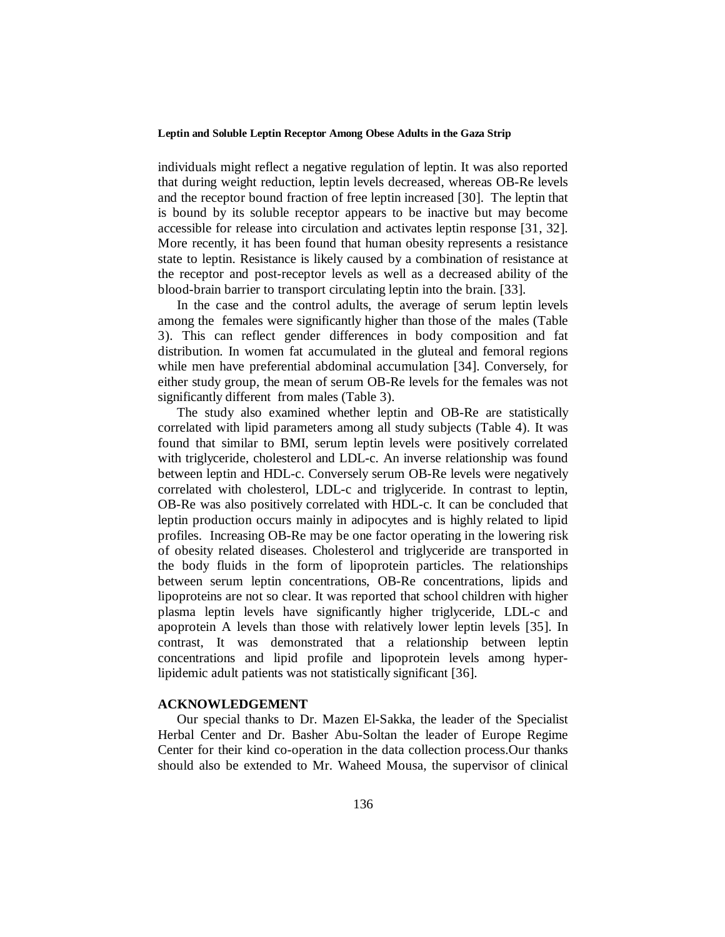individuals might reflect a negative regulation of leptin. It was also reported that during weight reduction, leptin levels decreased, whereas OB-Re levels and the receptor bound fraction of free leptin increased [30]. The leptin that is bound by its soluble receptor appears to be inactive but may become accessible for release into circulation and activates leptin response [31, 32]. More recently, it has been found that human obesity represents a resistance state to leptin. Resistance is likely caused by a combination of resistance at the receptor and post-receptor levels as well as a decreased ability of the blood-brain barrier to transport circulating leptin into the brain. [33].

In the case and the control adults, the average of serum leptin levels among the females were significantly higher than those of the males (Table 3). This can reflect gender differences in body composition and fat distribution. In women fat accumulated in the gluteal and femoral regions while men have preferential abdominal accumulation [34]. Conversely, for either study group, the mean of serum OB-Re levels for the females was not significantly different from males (Table 3).

The study also examined whether leptin and OB-Re are statistically correlated with lipid parameters among all study subjects (Table 4). It was found that similar to BMI, serum leptin levels were positively correlated with triglyceride, cholesterol and LDL-c. An inverse relationship was found between leptin and HDL-c. Conversely serum OB-Re levels were negatively correlated with cholesterol, LDL-c and triglyceride. In contrast to leptin, OB-Re was also positively correlated with HDL-c. It can be concluded that leptin production occurs mainly in adipocytes and is highly related to lipid profiles. Increasing OB-Re may be one factor operating in the lowering risk of obesity related diseases. Cholesterol and triglyceride are transported in the body fluids in the form of lipoprotein particles. The relationships between serum leptin concentrations, OB-Re concentrations, lipids and lipoproteins are not so clear. It was reported that school children with higher plasma leptin levels have significantly higher triglyceride, LDL-c and apoprotein A levels than those with relatively lower leptin levels [35]. In contrast, It was demonstrated that a relationship between leptin concentrations and lipid profile and lipoprotein levels among hyperlipidemic adult patients was not statistically significant [36].

## **ACKNOWLEDGEMENT**

Our special thanks to Dr. Mazen El-Sakka, the leader of the Specialist Herbal Center and Dr. Basher Abu-Soltan the leader of Europe Regime Center for their kind co-operation in the data collection process.Our thanks should also be extended to Mr. Waheed Mousa, the supervisor of clinical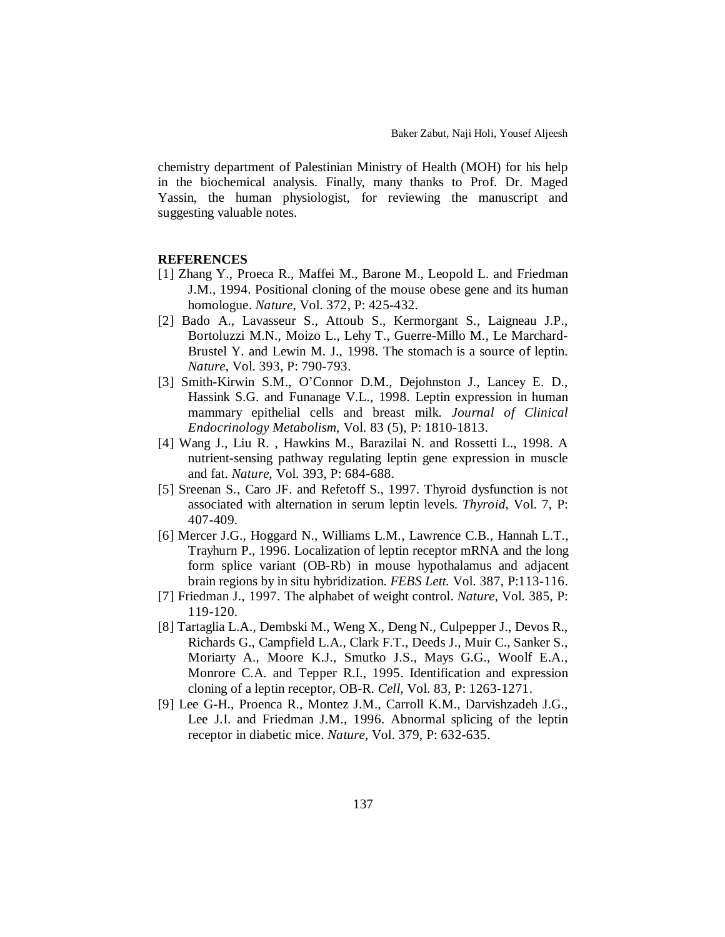chemistry department of Palestinian Ministry of Health (MOH) for his help in the biochemical analysis. Finally, many thanks to Prof. Dr. Maged Yassin, the human physiologist, for reviewing the manuscript and suggesting valuable notes.

## **REFERENCES**

- [1] Zhang Y., Proeca R., Maffei M., Barone M., Leopold L. and Friedman J.M., 1994. Positional cloning of the mouse obese gene and its human homologue. *Nature*, Vol. 372, P: 425-432.
- [2] Bado A., Lavasseur S., Attoub S., Kermorgant S., Laigneau J.P., Bortoluzzi M.N., Moizo L., Lehy T., Guerre-Millo M., Le Marchard-Brustel Y. and Lewin M. J., 1998. The stomach is a source of leptin. *Nature*, Vol. 393, P: 790-793.
- [3] Smith-Kirwin S.M., O'Connor D.M., Dejohnston J., Lancey E. D., Hassink S.G. and Funanage V.L., 1998. Leptin expression in human mammary epithelial cells and breast milk. *Journal of Clinical Endocrinology Metabolism*, Vol. 83 (5), P: 1810-1813.
- [4] Wang J., Liu R. , Hawkins M., Barazilai N. and Rossetti L., 1998. A nutrient-sensing pathway regulating leptin gene expression in muscle and fat. *Nature*, Vol. 393, P: 684-688.
- [5] Sreenan S., Caro JF. and Refetoff S., 1997. Thyroid dysfunction is not associated with alternation in serum leptin levels. *Thyroid*, Vol. 7, P: 407-409.
- [6] Mercer J.G., Hoggard N., Williams L.M., Lawrence C.B., Hannah L.T., Trayhurn P., 1996. Localization of leptin receptor mRNA and the long form splice variant (OB-Rb) in mouse hypothalamus and adjacent brain regions by in situ hybridization. *FEBS Lett.* Vol. 387, P:113-116.
- [7] Friedman J., 1997. The alphabet of weight control. *Nature*, Vol. 385, P: 119-120.
- [8] Tartaglia L.A., Dembski M., Weng X., Deng N., Culpepper J., Devos R., Richards G., Campfield L.A., Clark F.T., Deeds J., Muir C., Sanker S., Moriarty A., Moore K.J., Smutko J.S., Mays G.G., Woolf E.A., Monrore C.A. and Tepper R.I., 1995. Identification and expression cloning of a leptin receptor, OB-R. *Cell*, Vol. 83, P: 1263-1271.
- [9] Lee G-H., Proenca R., Montez J.M., Carroll K.M., Darvishzadeh J.G., Lee J.I. and Friedman J.M., 1996. Abnormal splicing of the leptin receptor in diabetic mice. *Nature,* Vol. 379, P: 632-635.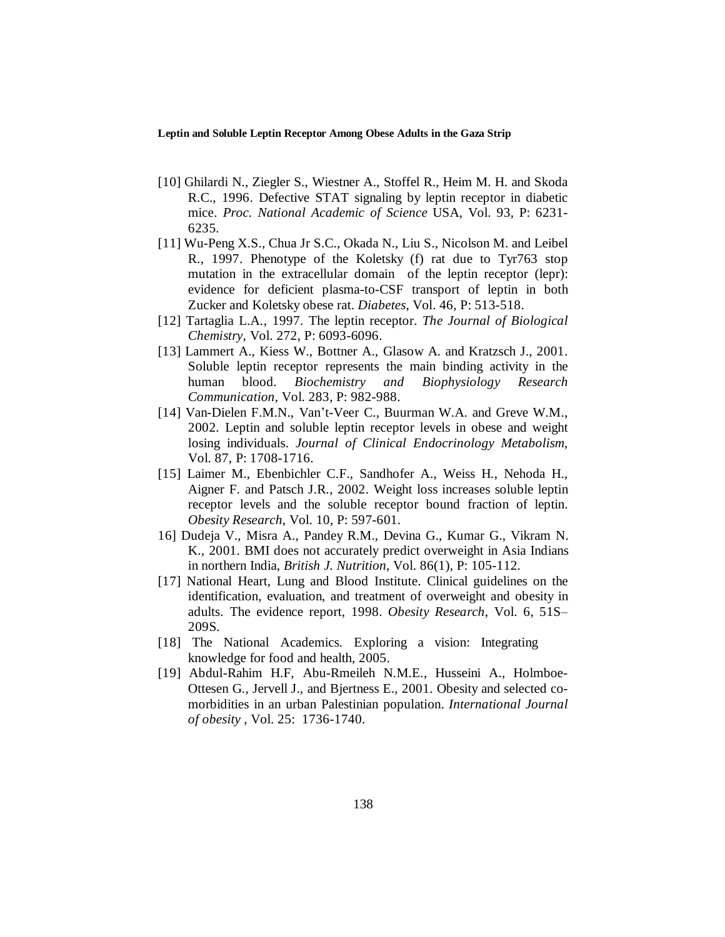- [10] Ghilardi N., Ziegler S., Wiestner A., Stoffel R., Heim M. H. and Skoda R.C., 1996. Defective STAT signaling by leptin receptor in diabetic mice. *Proc. National Academic of Science* USA, Vol. 93, P: 6231- 6235.
- [11] Wu-Peng X.S., Chua Jr S.C., Okada N., Liu S., Nicolson M. and Leibel R., 1997. Phenotype of the Koletsky (f) rat due to Tyr763 stop mutation in the extracellular domain of the leptin receptor (lepr): evidence for deficient plasma-to-CSF transport of leptin in both Zucker and Koletsky obese rat. *Diabetes*, Vol. 46, P: 513-518.
- [12] Tartaglia L.A., 1997. The leptin receptor. *The Journal of Biological Chemistry*, Vol. 272, P: 6093-6096.
- [13] Lammert A., Kiess W., Bottner A., Glasow A. and Kratzsch J., 2001. Soluble leptin receptor represents the main binding activity in the human blood. *Biochemistry and Biophysiology Research Communication*, Vol. 283, P: 982-988.
- [14] Van-Dielen F.M.N., Van't-Veer C., Buurman W.A. and Greve W.M., 2002. Leptin and soluble leptin receptor levels in obese and weight losing individuals. *Journal of Clinical Endocrinology Metabolism*, Vol. 87, P: 1708-1716.
- [15] Laimer M., Ebenbichler C.F., Sandhofer A., Weiss H., Nehoda H., Aigner F. and Patsch J.R., 2002. Weight loss increases soluble leptin receptor levels and the soluble receptor bound fraction of leptin. *Obesity Research*, Vol. 10, P: 597-601.
- 16] Dudeja V., Misra A., Pandey R.M., Devina G., Kumar G., Vikram N. K., 2001. BMI does not accurately predict overweight in Asia Indians in northern India, *British J. Nutrition*, Vol. 86(1), P: 105-112.
- [17] National Heart, Lung and Blood Institute. Clinical guidelines on the identification, evaluation, and treatment of overweight and obesity in adults. The evidence report, 1998. *Obesity Research*, Vol. 6, 51S– 209S.
- [18] The National Academics. Exploring a vision: Integrating knowledge for food and health, 2005.
- [19] Abdul-Rahim H.F, Abu-Rmeileh N.M.E., Husseini A., Holmboe-Ottesen G., Jervell J., and Bjertness E., 2001. Obesity and selected comorbidities in an urban Palestinian population. *International Journal of obesity* , Vol. 25: 1736-1740.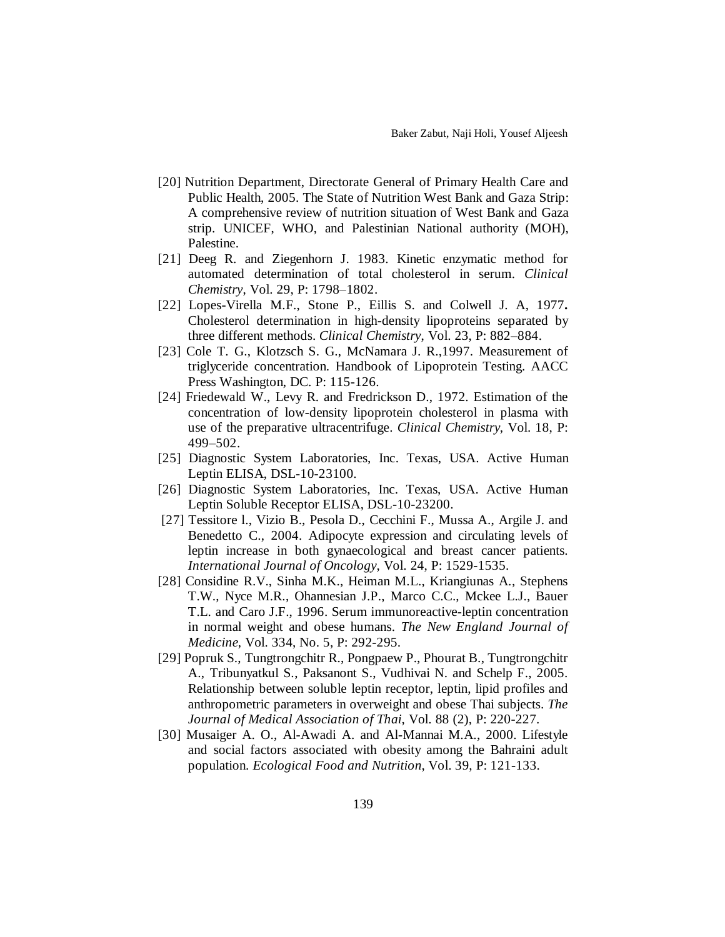- [20] Nutrition Department, Directorate General of Primary Health Care and Public Health, 2005. The State of Nutrition West Bank and Gaza Strip: A comprehensive review of nutrition situation of West Bank and Gaza strip. UNICEF, WHO, and Palestinian National authority (MOH), Palestine.
- [21] Deeg R. and Ziegenhorn J. 1983. Kinetic enzymatic method for automated determination of total cholesterol in serum. *Clinical Chemistry*, Vol. 29, P: 1798–1802.
- [22] Lopes-Virella M.F., Stone P., Eillis S. and Colwell J. A, 1977**.**  Cholesterol determination in high-density lipoproteins separated by three different methods. *Clinical Chemistry*, Vol. 23, P: 882–884.
- [23] Cole T. G., Klotzsch S. G., McNamara J. R.,1997. Measurement of triglyceride concentration. Handbook of Lipoprotein Testing. AACC Press Washington, DC. P: 115-126.
- [24] Friedewald W., Levy R. and Fredrickson D., 1972. Estimation of the concentration of low-density lipoprotein cholesterol in plasma with use of the preparative ultracentrifuge. *Clinical Chemistry*, Vol. 18, P: 499–502.
- [25] Diagnostic System Laboratories, Inc. Texas, USA. Active Human Leptin ELISA, DSL-10-23100.
- [26] Diagnostic System Laboratories, Inc. Texas, USA. Active Human Leptin Soluble Receptor ELISA, DSL-10-23200.
- [27] Tessitore l., Vizio B., Pesola D., Cecchini F., Mussa A., Argile J. and Benedetto C., 2004. Adipocyte expression and circulating levels of leptin increase in both gynaecological and breast cancer patients. *International Journal of Oncology*, Vol. 24, P: 1529-1535.
- [28] Considine R.V., Sinha M.K., Heiman M.L., Kriangiunas A., Stephens T.W., Nyce M.R., Ohannesian J.P., Marco C.C., Mckee L.J., Bauer T.L. and Caro J.F., 1996. Serum immunoreactive-leptin concentration in normal weight and obese humans. *The New England Journal of Medicine*, Vol. 334, No. 5, P: 292-295.
- [29] Popruk S., Tungtrongchitr R., Pongpaew P., Phourat B., Tungtrongchitr A., Tribunyatkul S., Paksanont S., Vudhivai N. and Schelp F., 2005. Relationship between soluble leptin receptor, leptin, lipid profiles and anthropometric parameters in overweight and obese Thai subjects. *The Journal of Medical Association of Thai*, Vol. 88 (2), P: 220-227.
- [30] Musaiger A. O., Al-Awadi A. and Al-Mannai M.A., 2000. Lifestyle and social factors associated with obesity among the Bahraini adult population. *Ecological Food and Nutrition*, Vol. 39, P: 121-133.